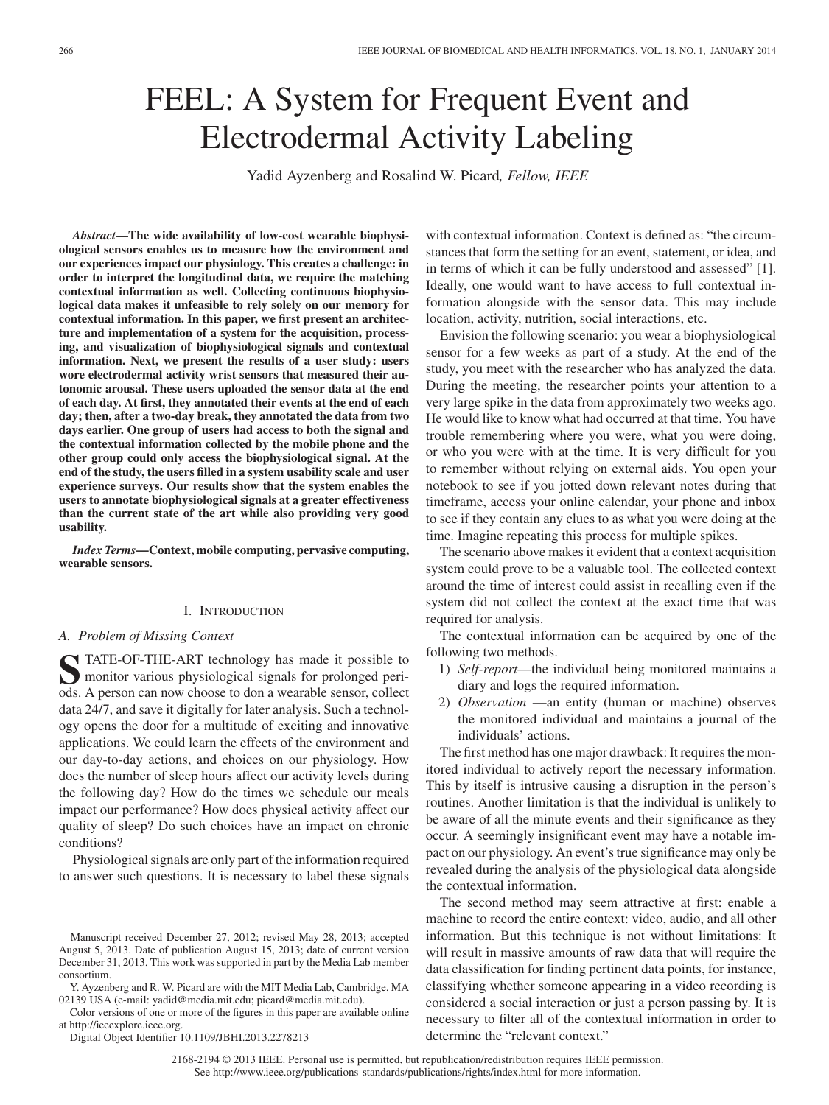# FEEL: A System for Frequent Event and Electrodermal Activity Labeling

Yadid Ayzenberg and Rosalind W. Picard*, Fellow, IEEE*

*Abstract***—The wide availability of low-cost wearable biophysiological sensors enables us to measure how the environment and our experiences impact our physiology. This creates a challenge: in order to interpret the longitudinal data, we require the matching contextual information as well. Collecting continuous biophysiological data makes it unfeasible to rely solely on our memory for contextual information. In this paper, we first present an architecture and implementation of a system for the acquisition, processing, and visualization of biophysiological signals and contextual information. Next, we present the results of a user study: users wore electrodermal activity wrist sensors that measured their autonomic arousal. These users uploaded the sensor data at the end of each day. At first, they annotated their events at the end of each day; then, after a two-day break, they annotated the data from two days earlier. One group of users had access to both the signal and the contextual information collected by the mobile phone and the other group could only access the biophysiological signal. At the end of the study, the users filled in a system usability scale and user experience surveys. Our results show that the system enables the users to annotate biophysiological signals at a greater effectiveness than the current state of the art while also providing very good usability.**

*Index Terms***—Context, mobile computing, pervasive computing, wearable sensors.**

#### I. INTRODUCTION

#### *A. Problem of Missing Context*

**S** TATE-OF-THE-ART technology has made it possible to monitor various physiological signals for prolonged peri-<br>code A person can now choose to done a wearable sensor, collect ods. A person can now choose to don a wearable sensor, collect data 24/7, and save it digitally for later analysis. Such a technology opens the door for a multitude of exciting and innovative applications. We could learn the effects of the environment and our day-to-day actions, and choices on our physiology. How does the number of sleep hours affect our activity levels during the following day? How do the times we schedule our meals impact our performance? How does physical activity affect our quality of sleep? Do such choices have an impact on chronic conditions?

Physiological signals are only part of the information required to answer such questions. It is necessary to label these signals

Color versions of one or more of the figures in this paper are available online at http://ieeexplore.ieee.org.

Digital Object Identifier 10.1109/JBHI.2013.2278213

with contextual information. Context is defined as: "the circumstances that form the setting for an event, statement, or idea, and in terms of which it can be fully understood and assessed" [1]. Ideally, one would want to have access to full contextual information alongside with the sensor data. This may include location, activity, nutrition, social interactions, etc.

Envision the following scenario: you wear a biophysiological sensor for a few weeks as part of a study. At the end of the study, you meet with the researcher who has analyzed the data. During the meeting, the researcher points your attention to a very large spike in the data from approximately two weeks ago. He would like to know what had occurred at that time. You have trouble remembering where you were, what you were doing, or who you were with at the time. It is very difficult for you to remember without relying on external aids. You open your notebook to see if you jotted down relevant notes during that timeframe, access your online calendar, your phone and inbox to see if they contain any clues to as what you were doing at the time. Imagine repeating this process for multiple spikes.

The scenario above makes it evident that a context acquisition system could prove to be a valuable tool. The collected context around the time of interest could assist in recalling even if the system did not collect the context at the exact time that was required for analysis.

The contextual information can be acquired by one of the following two methods.

- 1) *Self-report*—the individual being monitored maintains a diary and logs the required information.
- 2) *Observation* —an entity (human or machine) observes the monitored individual and maintains a journal of the individuals' actions.

The first method has one major drawback: It requires the monitored individual to actively report the necessary information. This by itself is intrusive causing a disruption in the person's routines. Another limitation is that the individual is unlikely to be aware of all the minute events and their significance as they occur. A seemingly insignificant event may have a notable impact on our physiology. An event's true significance may only be revealed during the analysis of the physiological data alongside the contextual information.

The second method may seem attractive at first: enable a machine to record the entire context: video, audio, and all other information. But this technique is not without limitations: It will result in massive amounts of raw data that will require the data classification for finding pertinent data points, for instance, classifying whether someone appearing in a video recording is considered a social interaction or just a person passing by. It is necessary to filter all of the contextual information in order to determine the "relevant context."

2168-2194 © 2013 IEEE. Personal use is permitted, but republication/redistribution requires IEEE permission. See http://www.ieee.org/publications\_standards/publications/rights/index.html for more information.

Manuscript received December 27, 2012; revised May 28, 2013; accepted August 5, 2013. Date of publication August 15, 2013; date of current version December 31, 2013. This work was supported in part by the Media Lab member consortium.

Y. Ayzenberg and R. W. Picard are with the MIT Media Lab, Cambridge, MA 02139 USA (e-mail: yadid@media.mit.edu; picard@media.mit.edu).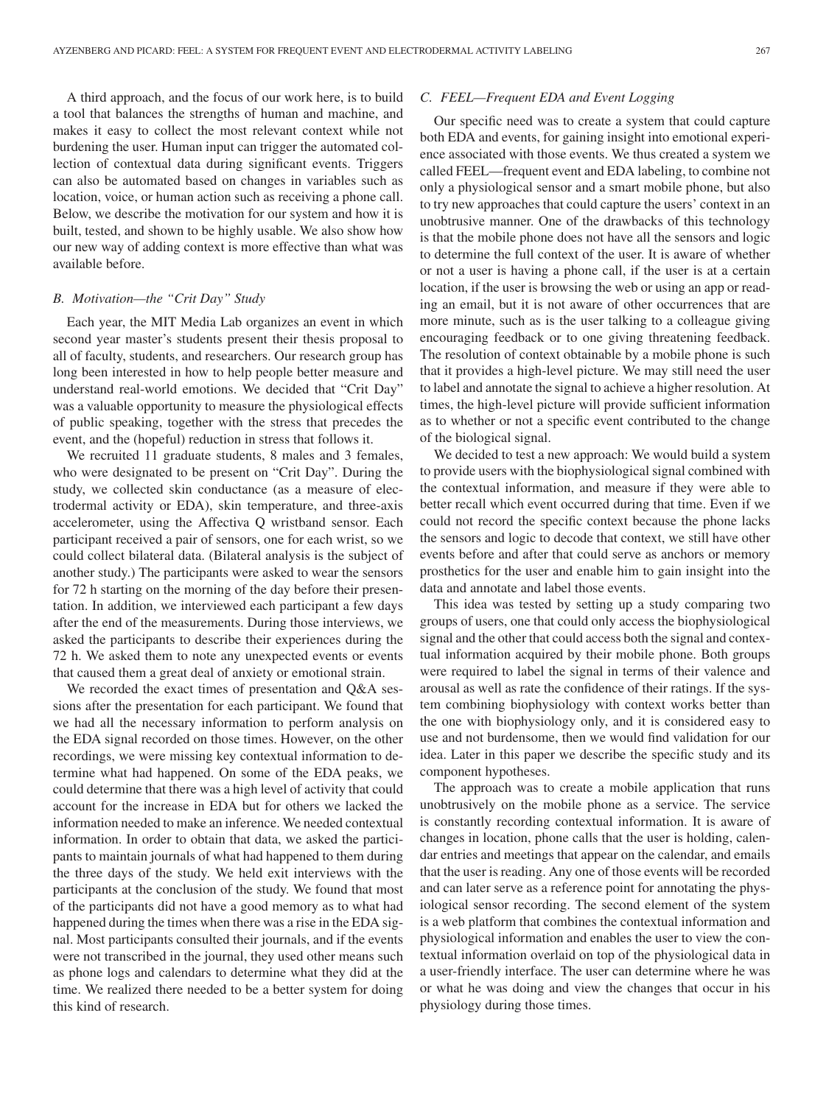A third approach, and the focus of our work here, is to build a tool that balances the strengths of human and machine, and makes it easy to collect the most relevant context while not burdening the user. Human input can trigger the automated collection of contextual data during significant events. Triggers can also be automated based on changes in variables such as location, voice, or human action such as receiving a phone call. Below, we describe the motivation for our system and how it is built, tested, and shown to be highly usable. We also show how our new way of adding context is more effective than what was available before.

# *B. Motivation—the "Crit Day" Study*

Each year, the MIT Media Lab organizes an event in which second year master's students present their thesis proposal to all of faculty, students, and researchers. Our research group has long been interested in how to help people better measure and understand real-world emotions. We decided that "Crit Day" was a valuable opportunity to measure the physiological effects of public speaking, together with the stress that precedes the event, and the (hopeful) reduction in stress that follows it.

We recruited 11 graduate students, 8 males and 3 females, who were designated to be present on "Crit Day". During the study, we collected skin conductance (as a measure of electrodermal activity or EDA), skin temperature, and three-axis accelerometer, using the Affectiva Q wristband sensor. Each participant received a pair of sensors, one for each wrist, so we could collect bilateral data. (Bilateral analysis is the subject of another study.) The participants were asked to wear the sensors for 72 h starting on the morning of the day before their presentation. In addition, we interviewed each participant a few days after the end of the measurements. During those interviews, we asked the participants to describe their experiences during the 72 h. We asked them to note any unexpected events or events that caused them a great deal of anxiety or emotional strain.

We recorded the exact times of presentation and Q&A sessions after the presentation for each participant. We found that we had all the necessary information to perform analysis on the EDA signal recorded on those times. However, on the other recordings, we were missing key contextual information to determine what had happened. On some of the EDA peaks, we could determine that there was a high level of activity that could account for the increase in EDA but for others we lacked the information needed to make an inference. We needed contextual information. In order to obtain that data, we asked the participants to maintain journals of what had happened to them during the three days of the study. We held exit interviews with the participants at the conclusion of the study. We found that most of the participants did not have a good memory as to what had happened during the times when there was a rise in the EDA signal. Most participants consulted their journals, and if the events were not transcribed in the journal, they used other means such as phone logs and calendars to determine what they did at the time. We realized there needed to be a better system for doing this kind of research.

#### *C. FEEL—Frequent EDA and Event Logging*

Our specific need was to create a system that could capture both EDA and events, for gaining insight into emotional experience associated with those events. We thus created a system we called FEEL—frequent event and EDA labeling, to combine not only a physiological sensor and a smart mobile phone, but also to try new approaches that could capture the users' context in an unobtrusive manner. One of the drawbacks of this technology is that the mobile phone does not have all the sensors and logic to determine the full context of the user. It is aware of whether or not a user is having a phone call, if the user is at a certain location, if the user is browsing the web or using an app or reading an email, but it is not aware of other occurrences that are more minute, such as is the user talking to a colleague giving encouraging feedback or to one giving threatening feedback. The resolution of context obtainable by a mobile phone is such that it provides a high-level picture. We may still need the user to label and annotate the signal to achieve a higher resolution. At times, the high-level picture will provide sufficient information as to whether or not a specific event contributed to the change of the biological signal.

We decided to test a new approach: We would build a system to provide users with the biophysiological signal combined with the contextual information, and measure if they were able to better recall which event occurred during that time. Even if we could not record the specific context because the phone lacks the sensors and logic to decode that context, we still have other events before and after that could serve as anchors or memory prosthetics for the user and enable him to gain insight into the data and annotate and label those events.

This idea was tested by setting up a study comparing two groups of users, one that could only access the biophysiological signal and the other that could access both the signal and contextual information acquired by their mobile phone. Both groups were required to label the signal in terms of their valence and arousal as well as rate the confidence of their ratings. If the system combining biophysiology with context works better than the one with biophysiology only, and it is considered easy to use and not burdensome, then we would find validation for our idea. Later in this paper we describe the specific study and its component hypotheses.

The approach was to create a mobile application that runs unobtrusively on the mobile phone as a service. The service is constantly recording contextual information. It is aware of changes in location, phone calls that the user is holding, calendar entries and meetings that appear on the calendar, and emails that the user is reading. Any one of those events will be recorded and can later serve as a reference point for annotating the physiological sensor recording. The second element of the system is a web platform that combines the contextual information and physiological information and enables the user to view the contextual information overlaid on top of the physiological data in a user-friendly interface. The user can determine where he was or what he was doing and view the changes that occur in his physiology during those times.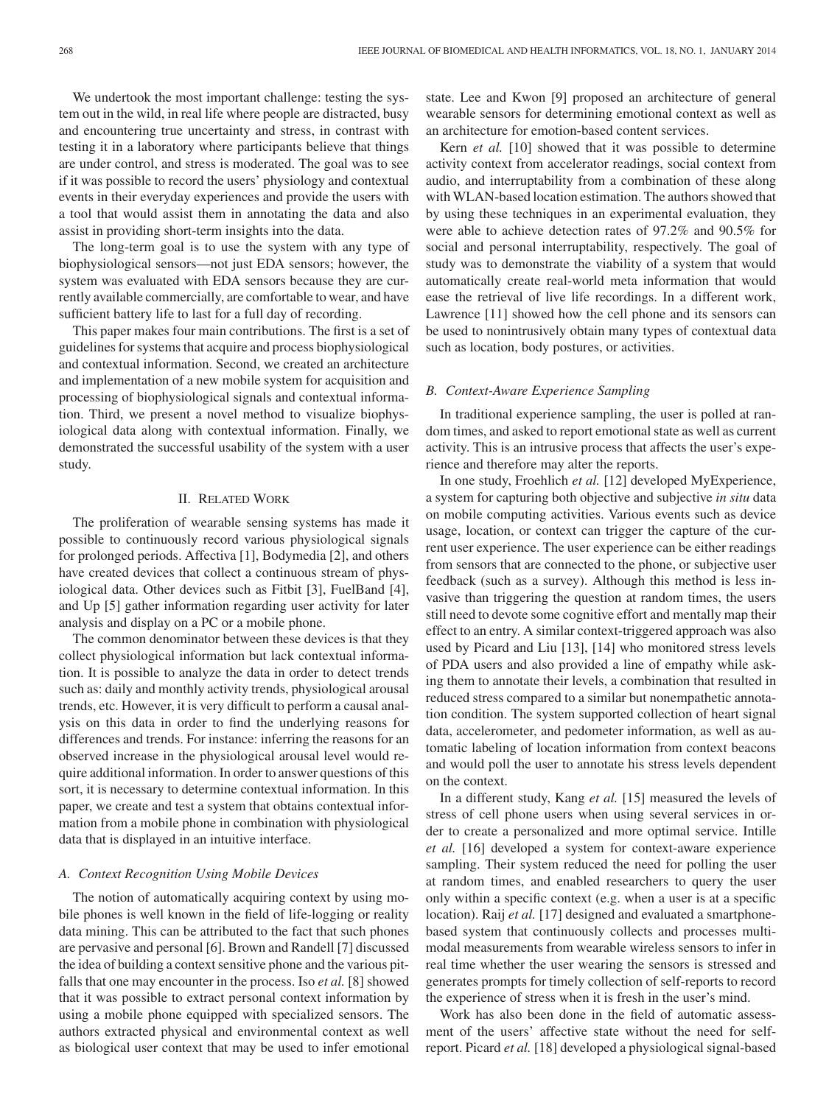We undertook the most important challenge: testing the system out in the wild, in real life where people are distracted, busy and encountering true uncertainty and stress, in contrast with testing it in a laboratory where participants believe that things are under control, and stress is moderated. The goal was to see if it was possible to record the users' physiology and contextual events in their everyday experiences and provide the users with a tool that would assist them in annotating the data and also assist in providing short-term insights into the data.

The long-term goal is to use the system with any type of biophysiological sensors—not just EDA sensors; however, the system was evaluated with EDA sensors because they are currently available commercially, are comfortable to wear, and have sufficient battery life to last for a full day of recording.

This paper makes four main contributions. The first is a set of guidelines for systems that acquire and process biophysiological and contextual information. Second, we created an architecture and implementation of a new mobile system for acquisition and processing of biophysiological signals and contextual information. Third, we present a novel method to visualize biophysiological data along with contextual information. Finally, we demonstrated the successful usability of the system with a user study.

# II. RELATED WORK

The proliferation of wearable sensing systems has made it possible to continuously record various physiological signals for prolonged periods. Affectiva [1], Bodymedia [2], and others have created devices that collect a continuous stream of physiological data. Other devices such as Fitbit [3], FuelBand [4], and Up [5] gather information regarding user activity for later analysis and display on a PC or a mobile phone.

The common denominator between these devices is that they collect physiological information but lack contextual information. It is possible to analyze the data in order to detect trends such as: daily and monthly activity trends, physiological arousal trends, etc. However, it is very difficult to perform a causal analysis on this data in order to find the underlying reasons for differences and trends. For instance: inferring the reasons for an observed increase in the physiological arousal level would require additional information. In order to answer questions of this sort, it is necessary to determine contextual information. In this paper, we create and test a system that obtains contextual information from a mobile phone in combination with physiological data that is displayed in an intuitive interface.

#### *A. Context Recognition Using Mobile Devices*

The notion of automatically acquiring context by using mobile phones is well known in the field of life-logging or reality data mining. This can be attributed to the fact that such phones are pervasive and personal [6]. Brown and Randell [7] discussed the idea of building a context sensitive phone and the various pitfalls that one may encounter in the process. Iso *et al.* [8] showed that it was possible to extract personal context information by using a mobile phone equipped with specialized sensors. The authors extracted physical and environmental context as well as biological user context that may be used to infer emotional

state. Lee and Kwon [9] proposed an architecture of general wearable sensors for determining emotional context as well as an architecture for emotion-based content services.

Kern *et al.* [10] showed that it was possible to determine activity context from accelerator readings, social context from audio, and interruptability from a combination of these along with WLAN-based location estimation. The authors showed that by using these techniques in an experimental evaluation, they were able to achieve detection rates of 97.2% and 90.5% for social and personal interruptability, respectively. The goal of study was to demonstrate the viability of a system that would automatically create real-world meta information that would ease the retrieval of live life recordings. In a different work, Lawrence [11] showed how the cell phone and its sensors can be used to nonintrusively obtain many types of contextual data such as location, body postures, or activities.

#### *B. Context-Aware Experience Sampling*

In traditional experience sampling, the user is polled at random times, and asked to report emotional state as well as current activity. This is an intrusive process that affects the user's experience and therefore may alter the reports.

In one study, Froehlich *et al.* [12] developed MyExperience, a system for capturing both objective and subjective *in situ* data on mobile computing activities. Various events such as device usage, location, or context can trigger the capture of the current user experience. The user experience can be either readings from sensors that are connected to the phone, or subjective user feedback (such as a survey). Although this method is less invasive than triggering the question at random times, the users still need to devote some cognitive effort and mentally map their effect to an entry. A similar context-triggered approach was also used by Picard and Liu [13], [14] who monitored stress levels of PDA users and also provided a line of empathy while asking them to annotate their levels, a combination that resulted in reduced stress compared to a similar but nonempathetic annotation condition. The system supported collection of heart signal data, accelerometer, and pedometer information, as well as automatic labeling of location information from context beacons and would poll the user to annotate his stress levels dependent on the context.

In a different study, Kang *et al.* [15] measured the levels of stress of cell phone users when using several services in order to create a personalized and more optimal service. Intille *et al.* [16] developed a system for context-aware experience sampling. Their system reduced the need for polling the user at random times, and enabled researchers to query the user only within a specific context (e.g. when a user is at a specific location). Raij *et al.* [17] designed and evaluated a smartphonebased system that continuously collects and processes multimodal measurements from wearable wireless sensors to infer in real time whether the user wearing the sensors is stressed and generates prompts for timely collection of self-reports to record the experience of stress when it is fresh in the user's mind.

Work has also been done in the field of automatic assessment of the users' affective state without the need for selfreport. Picard *et al.* [18] developed a physiological signal-based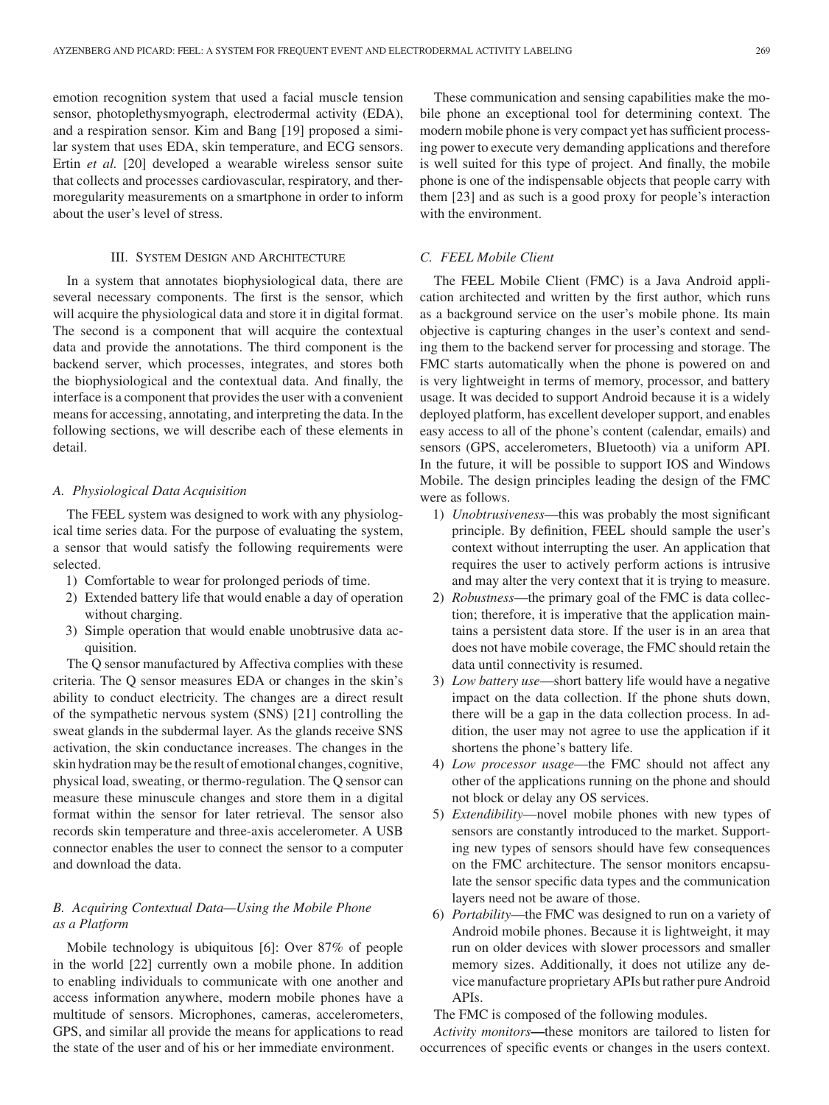emotion recognition system that used a facial muscle tension sensor, photoplethysmyograph, electrodermal activity (EDA), and a respiration sensor. Kim and Bang [19] proposed a similar system that uses EDA, skin temperature, and ECG sensors. Ertin *et al.* [20] developed a wearable wireless sensor suite that collects and processes cardiovascular, respiratory, and thermoregularity measurements on a smartphone in order to inform about the user's level of stress.

#### III. SYSTEM DESIGN AND ARCHITECTURE

In a system that annotates biophysiological data, there are several necessary components. The first is the sensor, which will acquire the physiological data and store it in digital format. The second is a component that will acquire the contextual data and provide the annotations. The third component is the backend server, which processes, integrates, and stores both the biophysiological and the contextual data. And finally, the interface is a component that provides the user with a convenient means for accessing, annotating, and interpreting the data. In the following sections, we will describe each of these elements in detail.

## *A. Physiological Data Acquisition*

The FEEL system was designed to work with any physiological time series data. For the purpose of evaluating the system, a sensor that would satisfy the following requirements were selected.

- 1) Comfortable to wear for prolonged periods of time.
- 2) Extended battery life that would enable a day of operation without charging.
- 3) Simple operation that would enable unobtrusive data acquisition.

The Q sensor manufactured by Affectiva complies with these criteria. The Q sensor measures EDA or changes in the skin's ability to conduct electricity. The changes are a direct result of the sympathetic nervous system (SNS) [21] controlling the sweat glands in the subdermal layer. As the glands receive SNS activation, the skin conductance increases. The changes in the skin hydration may be the result of emotional changes, cognitive, physical load, sweating, or thermo-regulation. The Q sensor can measure these minuscule changes and store them in a digital format within the sensor for later retrieval. The sensor also records skin temperature and three-axis accelerometer. A USB connector enables the user to connect the sensor to a computer and download the data.

# *B. Acquiring Contextual Data—Using the Mobile Phone as a Platform*

Mobile technology is ubiquitous [6]: Over 87% of people in the world [22] currently own a mobile phone. In addition to enabling individuals to communicate with one another and access information anywhere, modern mobile phones have a multitude of sensors. Microphones, cameras, accelerometers, GPS, and similar all provide the means for applications to read the state of the user and of his or her immediate environment.

These communication and sensing capabilities make the mobile phone an exceptional tool for determining context. The modern mobile phone is very compact yet has sufficient processing power to execute very demanding applications and therefore is well suited for this type of project. And finally, the mobile phone is one of the indispensable objects that people carry with them [23] and as such is a good proxy for people's interaction with the environment.

# *C. FEEL Mobile Client*

The FEEL Mobile Client (FMC) is a Java Android application architected and written by the first author, which runs as a background service on the user's mobile phone. Its main objective is capturing changes in the user's context and sending them to the backend server for processing and storage. The FMC starts automatically when the phone is powered on and is very lightweight in terms of memory, processor, and battery usage. It was decided to support Android because it is a widely deployed platform, has excellent developer support, and enables easy access to all of the phone's content (calendar, emails) and sensors (GPS, accelerometers, Bluetooth) via a uniform API. In the future, it will be possible to support IOS and Windows Mobile. The design principles leading the design of the FMC were as follows.

- 1) *Unobtrusiveness*—this was probably the most significant principle. By definition, FEEL should sample the user's context without interrupting the user. An application that requires the user to actively perform actions is intrusive and may alter the very context that it is trying to measure.
- 2) *Robustness*—the primary goal of the FMC is data collection; therefore, it is imperative that the application maintains a persistent data store. If the user is in an area that does not have mobile coverage, the FMC should retain the data until connectivity is resumed.
- 3) *Low battery use*—short battery life would have a negative impact on the data collection. If the phone shuts down, there will be a gap in the data collection process. In addition, the user may not agree to use the application if it shortens the phone's battery life.
- 4) *Low processor usage*—the FMC should not affect any other of the applications running on the phone and should not block or delay any OS services.
- 5) *Extendibility*—novel mobile phones with new types of sensors are constantly introduced to the market. Supporting new types of sensors should have few consequences on the FMC architecture. The sensor monitors encapsulate the sensor specific data types and the communication layers need not be aware of those.
- 6) *Portability*—the FMC was designed to run on a variety of Android mobile phones. Because it is lightweight, it may run on older devices with slower processors and smaller memory sizes. Additionally, it does not utilize any device manufacture proprietary APIs but rather pure Android APIs.

The FMC is composed of the following modules.

*Activity monitors***—**these monitors are tailored to listen for occurrences of specific events or changes in the users context.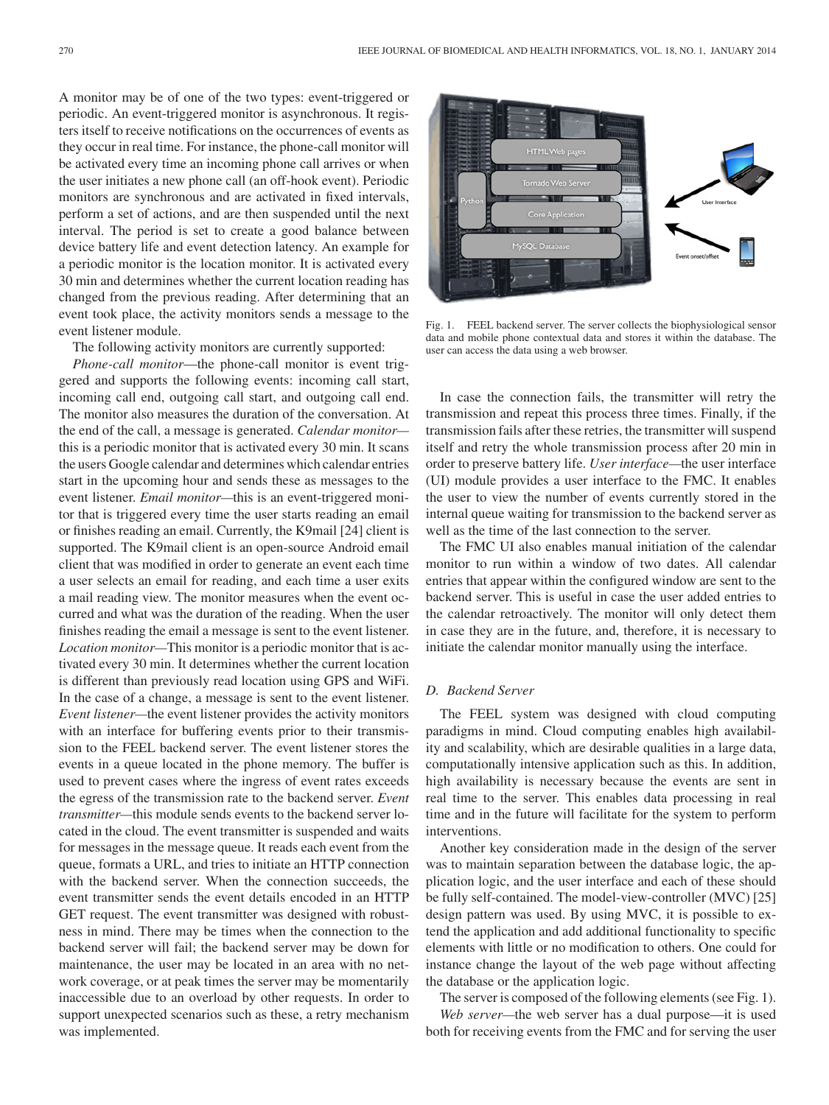A monitor may be of one of the two types: event-triggered or periodic. An event-triggered monitor is asynchronous. It registers itself to receive notifications on the occurrences of events as they occur in real time. For instance, the phone-call monitor will be activated every time an incoming phone call arrives or when the user initiates a new phone call (an off-hook event). Periodic monitors are synchronous and are activated in fixed intervals, perform a set of actions, and are then suspended until the next interval. The period is set to create a good balance between device battery life and event detection latency. An example for a periodic monitor is the location monitor. It is activated every 30 min and determines whether the current location reading has changed from the previous reading. After determining that an event took place, the activity monitors sends a message to the event listener module.

The following activity monitors are currently supported:

*Phone-call monitor*—the phone-call monitor is event triggered and supports the following events: incoming call start, incoming call end, outgoing call start, and outgoing call end. The monitor also measures the duration of the conversation. At the end of the call, a message is generated. *Calendar monitor* this is a periodic monitor that is activated every 30 min. It scans the users Google calendar and determines which calendar entries start in the upcoming hour and sends these as messages to the event listener. *Email monitor—*this is an event-triggered monitor that is triggered every time the user starts reading an email or finishes reading an email. Currently, the K9mail [24] client is supported. The K9mail client is an open-source Android email client that was modified in order to generate an event each time a user selects an email for reading, and each time a user exits a mail reading view. The monitor measures when the event occurred and what was the duration of the reading. When the user finishes reading the email a message is sent to the event listener. *Location monitor—*This monitor is a periodic monitor that is activated every 30 min. It determines whether the current location is different than previously read location using GPS and WiFi. In the case of a change, a message is sent to the event listener. *Event listener—*the event listener provides the activity monitors with an interface for buffering events prior to their transmission to the FEEL backend server. The event listener stores the events in a queue located in the phone memory. The buffer is used to prevent cases where the ingress of event rates exceeds the egress of the transmission rate to the backend server. *Event transmitter—*this module sends events to the backend server located in the cloud. The event transmitter is suspended and waits for messages in the message queue. It reads each event from the queue, formats a URL, and tries to initiate an HTTP connection with the backend server. When the connection succeeds, the event transmitter sends the event details encoded in an HTTP GET request. The event transmitter was designed with robustness in mind. There may be times when the connection to the backend server will fail; the backend server may be down for maintenance, the user may be located in an area with no network coverage, or at peak times the server may be momentarily inaccessible due to an overload by other requests. In order to support unexpected scenarios such as these, a retry mechanism was implemented.



Fig. 1. FEEL backend server. The server collects the biophysiological sensor data and mobile phone contextual data and stores it within the database. The user can access the data using a web browser.

In case the connection fails, the transmitter will retry the transmission and repeat this process three times. Finally, if the transmission fails after these retries, the transmitter will suspend itself and retry the whole transmission process after 20 min in order to preserve battery life. *User interface—*the user interface (UI) module provides a user interface to the FMC. It enables the user to view the number of events currently stored in the internal queue waiting for transmission to the backend server as well as the time of the last connection to the server.

The FMC UI also enables manual initiation of the calendar monitor to run within a window of two dates. All calendar entries that appear within the configured window are sent to the backend server. This is useful in case the user added entries to the calendar retroactively. The monitor will only detect them in case they are in the future, and, therefore, it is necessary to initiate the calendar monitor manually using the interface.

# *D. Backend Server*

The FEEL system was designed with cloud computing paradigms in mind. Cloud computing enables high availability and scalability, which are desirable qualities in a large data, computationally intensive application such as this. In addition, high availability is necessary because the events are sent in real time to the server. This enables data processing in real time and in the future will facilitate for the system to perform interventions.

Another key consideration made in the design of the server was to maintain separation between the database logic, the application logic, and the user interface and each of these should be fully self-contained. The model-view-controller (MVC) [25] design pattern was used. By using MVC, it is possible to extend the application and add additional functionality to specific elements with little or no modification to others. One could for instance change the layout of the web page without affecting the database or the application logic.

The server is composed of the following elements (see Fig. 1). *Web server—*the web server has a dual purpose—it is used both for receiving events from the FMC and for serving the user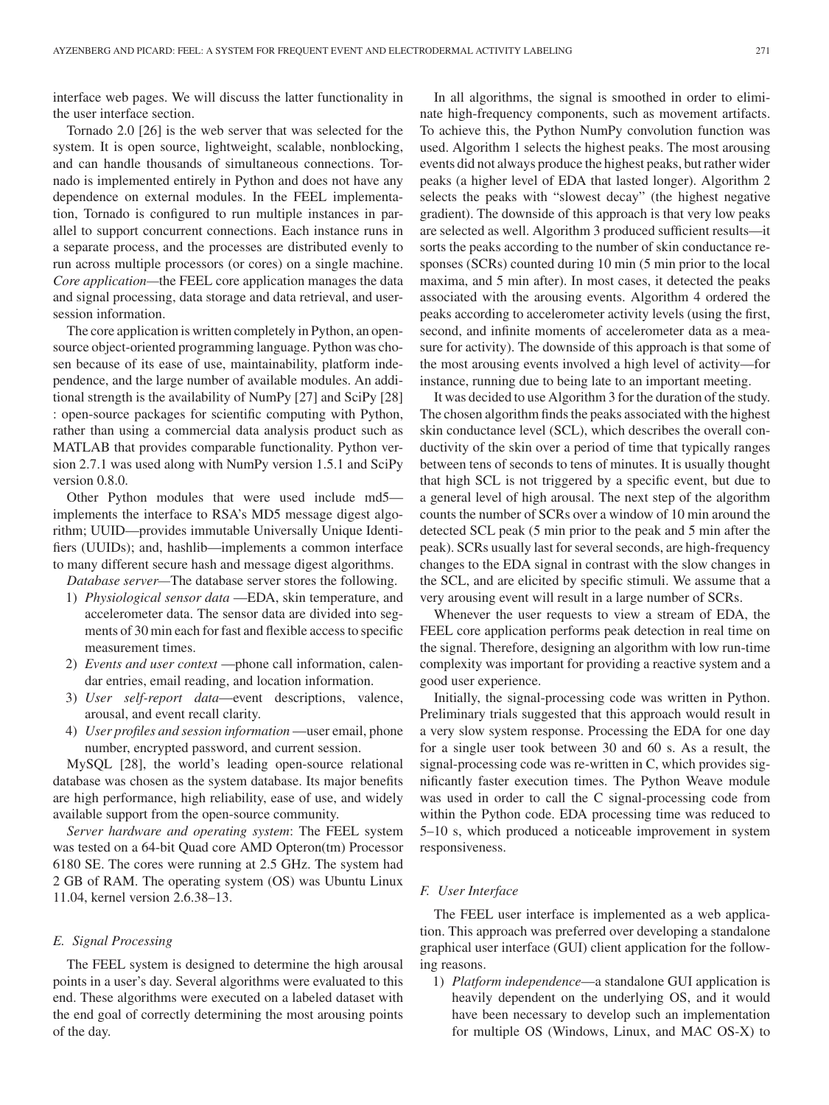interface web pages. We will discuss the latter functionality in the user interface section.

Tornado 2.0 [26] is the web server that was selected for the system. It is open source, lightweight, scalable, nonblocking, and can handle thousands of simultaneous connections. Tornado is implemented entirely in Python and does not have any dependence on external modules. In the FEEL implementation, Tornado is configured to run multiple instances in parallel to support concurrent connections. Each instance runs in a separate process, and the processes are distributed evenly to run across multiple processors (or cores) on a single machine. *Core application—*the FEEL core application manages the data and signal processing, data storage and data retrieval, and usersession information.

The core application is written completely in Python, an opensource object-oriented programming language. Python was chosen because of its ease of use, maintainability, platform independence, and the large number of available modules. An additional strength is the availability of NumPy [27] and SciPy [28] : open-source packages for scientific computing with Python, rather than using a commercial data analysis product such as MATLAB that provides comparable functionality. Python version 2.7.1 was used along with NumPy version 1.5.1 and SciPy version 0.8.0.

Other Python modules that were used include md5 implements the interface to RSA's MD5 message digest algorithm; UUID—provides immutable Universally Unique Identifiers (UUIDs); and, hashlib—implements a common interface to many different secure hash and message digest algorithms.

*Database server—*The database server stores the following.

- 1) *Physiological sensor data* —EDA, skin temperature, and accelerometer data. The sensor data are divided into segments of 30 min each for fast and flexible access to specific measurement times.
- 2) *Events and user context* —phone call information, calendar entries, email reading, and location information.
- 3) *User self-report data*—event descriptions, valence, arousal, and event recall clarity.
- 4) *User profiles and session information* —user email, phone number, encrypted password, and current session.

MySQL [28], the world's leading open-source relational database was chosen as the system database. Its major benefits are high performance, high reliability, ease of use, and widely available support from the open-source community.

*Server hardware and operating system*: The FEEL system was tested on a 64-bit Quad core AMD Opteron(tm) Processor 6180 SE. The cores were running at 2.5 GHz. The system had 2 GB of RAM. The operating system (OS) was Ubuntu Linux 11.04, kernel version 2.6.38–13.

## *E. Signal Processing*

The FEEL system is designed to determine the high arousal points in a user's day. Several algorithms were evaluated to this end. These algorithms were executed on a labeled dataset with the end goal of correctly determining the most arousing points of the day.

In all algorithms, the signal is smoothed in order to eliminate high-frequency components, such as movement artifacts. To achieve this, the Python NumPy convolution function was used. Algorithm 1 selects the highest peaks. The most arousing events did not always produce the highest peaks, but rather wider peaks (a higher level of EDA that lasted longer). Algorithm 2 selects the peaks with "slowest decay" (the highest negative gradient). The downside of this approach is that very low peaks are selected as well. Algorithm 3 produced sufficient results—it sorts the peaks according to the number of skin conductance responses (SCRs) counted during 10 min (5 min prior to the local maxima, and 5 min after). In most cases, it detected the peaks associated with the arousing events. Algorithm 4 ordered the peaks according to accelerometer activity levels (using the first, second, and infinite moments of accelerometer data as a measure for activity). The downside of this approach is that some of the most arousing events involved a high level of activity—for instance, running due to being late to an important meeting.

It was decided to use Algorithm 3 for the duration of the study. The chosen algorithm finds the peaks associated with the highest skin conductance level (SCL), which describes the overall conductivity of the skin over a period of time that typically ranges between tens of seconds to tens of minutes. It is usually thought that high SCL is not triggered by a specific event, but due to a general level of high arousal. The next step of the algorithm counts the number of SCRs over a window of 10 min around the detected SCL peak (5 min prior to the peak and 5 min after the peak). SCRs usually last for several seconds, are high-frequency changes to the EDA signal in contrast with the slow changes in the SCL, and are elicited by specific stimuli. We assume that a very arousing event will result in a large number of SCRs.

Whenever the user requests to view a stream of EDA, the FEEL core application performs peak detection in real time on the signal. Therefore, designing an algorithm with low run-time complexity was important for providing a reactive system and a good user experience.

Initially, the signal-processing code was written in Python. Preliminary trials suggested that this approach would result in a very slow system response. Processing the EDA for one day for a single user took between 30 and 60 s. As a result, the signal-processing code was re-written in C, which provides significantly faster execution times. The Python Weave module was used in order to call the C signal-processing code from within the Python code. EDA processing time was reduced to 5–10 s, which produced a noticeable improvement in system responsiveness.

#### *F. User Interface*

The FEEL user interface is implemented as a web application. This approach was preferred over developing a standalone graphical user interface (GUI) client application for the following reasons.

1) *Platform independence*—a standalone GUI application is heavily dependent on the underlying OS, and it would have been necessary to develop such an implementation for multiple OS (Windows, Linux, and MAC OS-X) to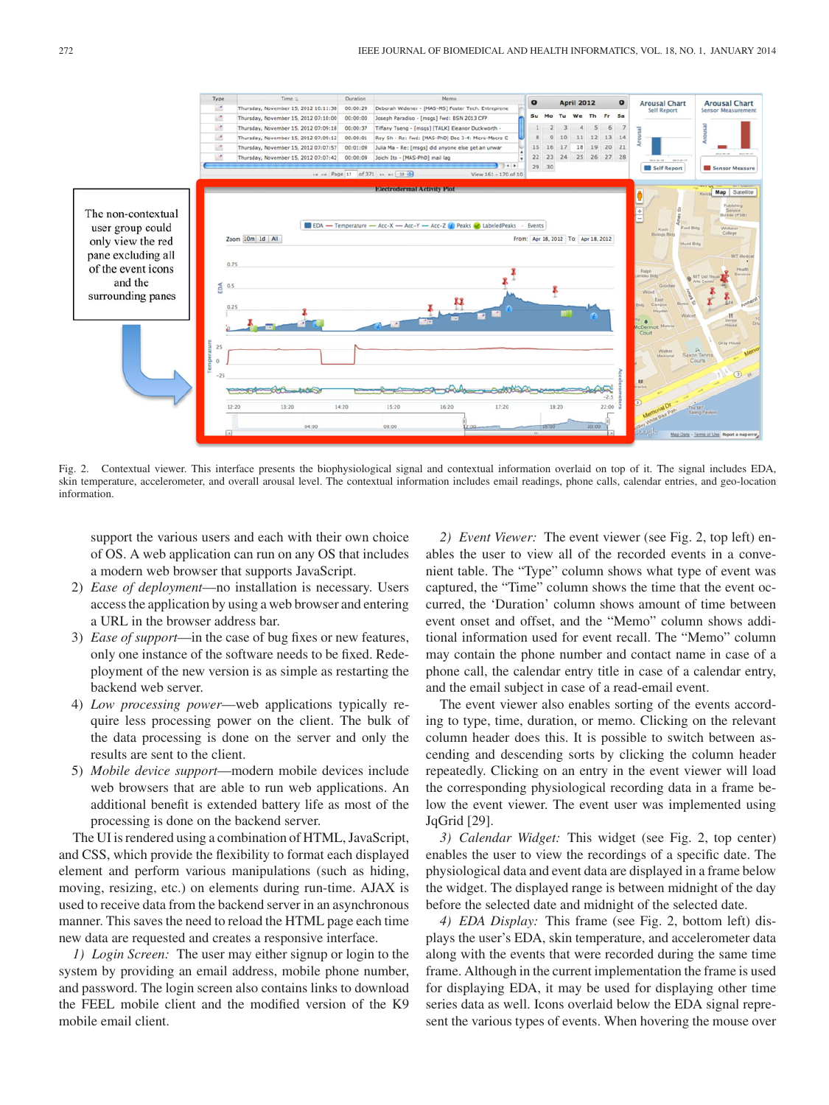

Fig. 2. Contextual viewer. This interface presents the biophysiological signal and contextual information overlaid on top of it. The signal includes EDA, skin temperature, accelerometer, and overall arousal level. The contextual information includes email readings, phone calls, calendar entries, and geo-location information.

support the various users and each with their own choice of OS. A web application can run on any OS that includes a modern web browser that supports JavaScript.

- 2) *Ease of deployment*—no installation is necessary. Users access the application by using a web browser and entering a URL in the browser address bar.
- 3) *Ease of support*—in the case of bug fixes or new features, only one instance of the software needs to be fixed. Redeployment of the new version is as simple as restarting the backend web server.
- 4) *Low processing power*—web applications typically require less processing power on the client. The bulk of the data processing is done on the server and only the results are sent to the client.
- 5) *Mobile device support*—modern mobile devices include web browsers that are able to run web applications. An additional benefit is extended battery life as most of the processing is done on the backend server.

The UI is rendered using a combination of HTML, JavaScript, and CSS, which provide the flexibility to format each displayed element and perform various manipulations (such as hiding, moving, resizing, etc.) on elements during run-time. AJAX is used to receive data from the backend server in an asynchronous manner. This saves the need to reload the HTML page each time new data are requested and creates a responsive interface.

*1) Login Screen:* The user may either signup or login to the system by providing an email address, mobile phone number, and password. The login screen also contains links to download the FEEL mobile client and the modified version of the K9 mobile email client.

*2) Event Viewer:* The event viewer (see Fig. 2, top left) enables the user to view all of the recorded events in a convenient table. The "Type" column shows what type of event was captured, the "Time" column shows the time that the event occurred, the 'Duration' column shows amount of time between event onset and offset, and the "Memo" column shows additional information used for event recall. The "Memo" column may contain the phone number and contact name in case of a phone call, the calendar entry title in case of a calendar entry, and the email subject in case of a read-email event.

The event viewer also enables sorting of the events according to type, time, duration, or memo. Clicking on the relevant column header does this. It is possible to switch between ascending and descending sorts by clicking the column header repeatedly. Clicking on an entry in the event viewer will load the corresponding physiological recording data in a frame below the event viewer. The event user was implemented using JqGrid [29].

*3) Calendar Widget:* This widget (see Fig. 2, top center) enables the user to view the recordings of a specific date. The physiological data and event data are displayed in a frame below the widget. The displayed range is between midnight of the day before the selected date and midnight of the selected date.

*4) EDA Display:* This frame (see Fig. 2, bottom left) displays the user's EDA, skin temperature, and accelerometer data along with the events that were recorded during the same time frame. Although in the current implementation the frame is used for displaying EDA, it may be used for displaying other time series data as well. Icons overlaid below the EDA signal represent the various types of events. When hovering the mouse over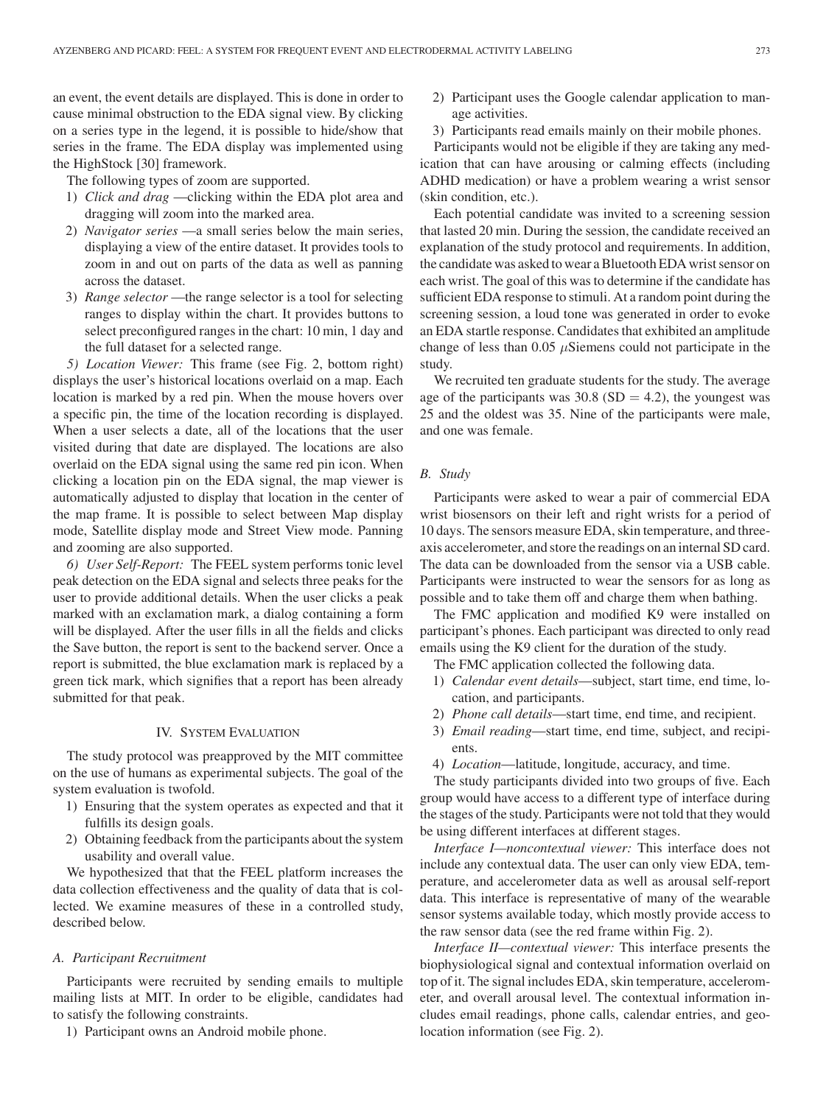an event, the event details are displayed. This is done in order to cause minimal obstruction to the EDA signal view. By clicking on a series type in the legend, it is possible to hide/show that series in the frame. The EDA display was implemented using the HighStock [30] framework.

The following types of zoom are supported.

- 1) *Click and drag* —clicking within the EDA plot area and dragging will zoom into the marked area.
- 2) *Navigator series* —a small series below the main series, displaying a view of the entire dataset. It provides tools to zoom in and out on parts of the data as well as panning across the dataset.
- 3) *Range selector* —the range selector is a tool for selecting ranges to display within the chart. It provides buttons to select preconfigured ranges in the chart: 10 min, 1 day and the full dataset for a selected range.

*5) Location Viewer:* This frame (see Fig. 2, bottom right) displays the user's historical locations overlaid on a map. Each location is marked by a red pin. When the mouse hovers over a specific pin, the time of the location recording is displayed. When a user selects a date, all of the locations that the user visited during that date are displayed. The locations are also overlaid on the EDA signal using the same red pin icon. When clicking a location pin on the EDA signal, the map viewer is automatically adjusted to display that location in the center of the map frame. It is possible to select between Map display mode, Satellite display mode and Street View mode. Panning and zooming are also supported.

*6) User Self-Report:* The FEEL system performs tonic level peak detection on the EDA signal and selects three peaks for the user to provide additional details. When the user clicks a peak marked with an exclamation mark, a dialog containing a form will be displayed. After the user fills in all the fields and clicks the Save button, the report is sent to the backend server. Once a report is submitted, the blue exclamation mark is replaced by a green tick mark, which signifies that a report has been already submitted for that peak.

## IV. SYSTEM EVALUATION

The study protocol was preapproved by the MIT committee on the use of humans as experimental subjects. The goal of the system evaluation is twofold.

- 1) Ensuring that the system operates as expected and that it fulfills its design goals.
- 2) Obtaining feedback from the participants about the system usability and overall value.

We hypothesized that that the FEEL platform increases the data collection effectiveness and the quality of data that is collected. We examine measures of these in a controlled study, described below.

## *A. Participant Recruitment*

Participants were recruited by sending emails to multiple mailing lists at MIT. In order to be eligible, candidates had to satisfy the following constraints.

1) Participant owns an Android mobile phone.

- 2) Participant uses the Google calendar application to manage activities.
- 3) Participants read emails mainly on their mobile phones.

Participants would not be eligible if they are taking any medication that can have arousing or calming effects (including ADHD medication) or have a problem wearing a wrist sensor (skin condition, etc.).

Each potential candidate was invited to a screening session that lasted 20 min. During the session, the candidate received an explanation of the study protocol and requirements. In addition, the candidate was asked to wear a Bluetooth EDA wrist sensor on each wrist. The goal of this was to determine if the candidate has sufficient EDA response to stimuli. At a random point during the screening session, a loud tone was generated in order to evoke an EDA startle response. Candidates that exhibited an amplitude change of less than 0.05  $\mu$ Siemens could not participate in the study.

We recruited ten graduate students for the study. The average age of the participants was  $30.8$  (SD = 4.2), the youngest was 25 and the oldest was 35. Nine of the participants were male, and one was female.

# *B. Study*

Participants were asked to wear a pair of commercial EDA wrist biosensors on their left and right wrists for a period of 10 days. The sensors measure EDA, skin temperature, and threeaxis accelerometer, and store the readings on an internal SD card. The data can be downloaded from the sensor via a USB cable. Participants were instructed to wear the sensors for as long as possible and to take them off and charge them when bathing.

The FMC application and modified K9 were installed on participant's phones. Each participant was directed to only read emails using the K9 client for the duration of the study.

- The FMC application collected the following data.
- 1) *Calendar event details*—subject, start time, end time, location, and participants.
- 2) *Phone call details*—start time, end time, and recipient.
- 3) *Email reading*—start time, end time, subject, and recipients.
- 4) *Location*—latitude, longitude, accuracy, and time.

The study participants divided into two groups of five. Each group would have access to a different type of interface during the stages of the study. Participants were not told that they would be using different interfaces at different stages.

*Interface I—noncontextual viewer:* This interface does not include any contextual data. The user can only view EDA, temperature, and accelerometer data as well as arousal self-report data. This interface is representative of many of the wearable sensor systems available today, which mostly provide access to the raw sensor data (see the red frame within Fig. 2).

*Interface II—contextual viewer:* This interface presents the biophysiological signal and contextual information overlaid on top of it. The signal includes EDA, skin temperature, accelerometer, and overall arousal level. The contextual information includes email readings, phone calls, calendar entries, and geolocation information (see Fig. 2).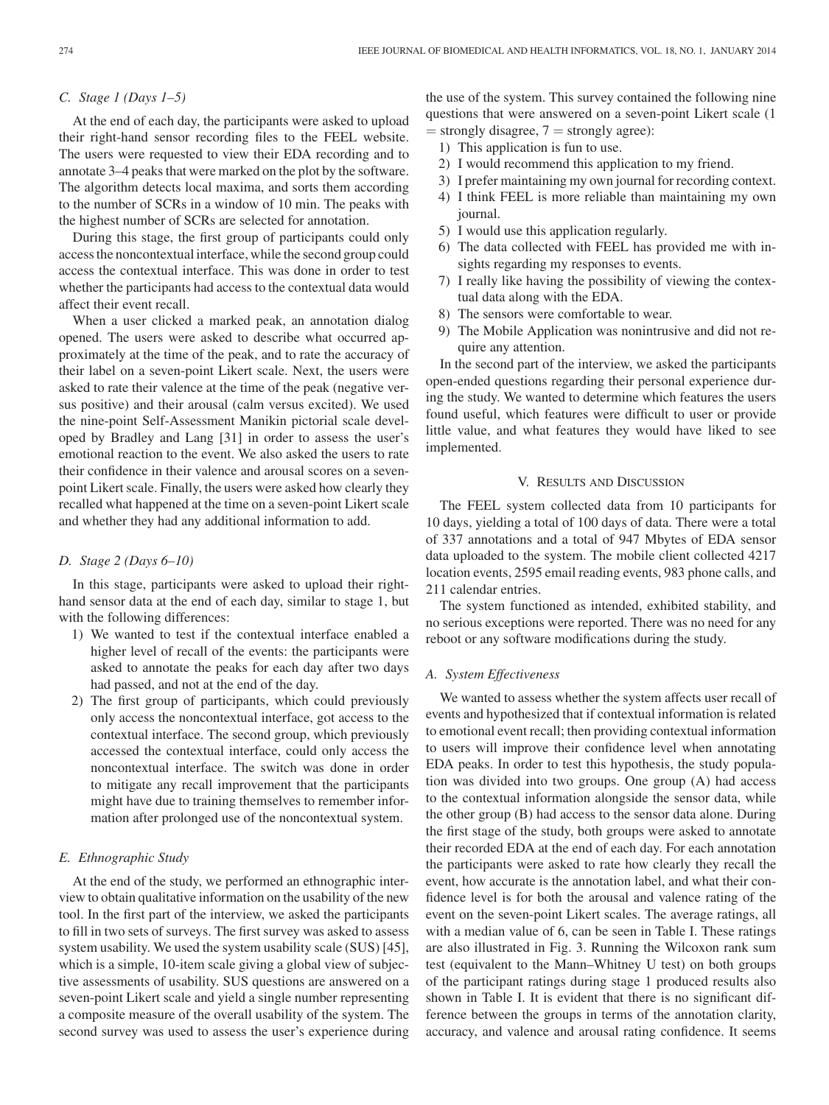## *C. Stage 1 (Days 1–5)*

At the end of each day, the participants were asked to upload their right-hand sensor recording files to the FEEL website. The users were requested to view their EDA recording and to annotate 3–4 peaks that were marked on the plot by the software. The algorithm detects local maxima, and sorts them according to the number of SCRs in a window of 10 min. The peaks with the highest number of SCRs are selected for annotation.

During this stage, the first group of participants could only access the noncontextual interface, while the second group could access the contextual interface. This was done in order to test whether the participants had access to the contextual data would affect their event recall.

When a user clicked a marked peak, an annotation dialog opened. The users were asked to describe what occurred approximately at the time of the peak, and to rate the accuracy of their label on a seven-point Likert scale. Next, the users were asked to rate their valence at the time of the peak (negative versus positive) and their arousal (calm versus excited). We used the nine-point Self-Assessment Manikin pictorial scale developed by Bradley and Lang [31] in order to assess the user's emotional reaction to the event. We also asked the users to rate their confidence in their valence and arousal scores on a sevenpoint Likert scale. Finally, the users were asked how clearly they recalled what happened at the time on a seven-point Likert scale and whether they had any additional information to add.

#### *D. Stage 2 (Days 6–10)*

In this stage, participants were asked to upload their righthand sensor data at the end of each day, similar to stage 1, but with the following differences:

- 1) We wanted to test if the contextual interface enabled a higher level of recall of the events: the participants were asked to annotate the peaks for each day after two days had passed, and not at the end of the day.
- 2) The first group of participants, which could previously only access the noncontextual interface, got access to the contextual interface. The second group, which previously accessed the contextual interface, could only access the noncontextual interface. The switch was done in order to mitigate any recall improvement that the participants might have due to training themselves to remember information after prolonged use of the noncontextual system.

# *E. Ethnographic Study*

At the end of the study, we performed an ethnographic interview to obtain qualitative information on the usability of the new tool. In the first part of the interview, we asked the participants to fill in two sets of surveys. The first survey was asked to assess system usability. We used the system usability scale (SUS) [45], which is a simple, 10-item scale giving a global view of subjective assessments of usability. SUS questions are answered on a seven-point Likert scale and yield a single number representing a composite measure of the overall usability of the system. The second survey was used to assess the user's experience during

the use of the system. This survey contained the following nine questions that were answered on a seven-point Likert scale (1  $=$  strongly disagree,  $7 =$  strongly agree):

- 1) This application is fun to use.
- 2) I would recommend this application to my friend.
- 3) I prefer maintaining my own journal for recording context.
- 4) I think FEEL is more reliable than maintaining my own journal.
- 5) I would use this application regularly.
- 6) The data collected with FEEL has provided me with insights regarding my responses to events.
- 7) I really like having the possibility of viewing the contextual data along with the EDA.
- 8) The sensors were comfortable to wear.
- 9) The Mobile Application was nonintrusive and did not require any attention.

In the second part of the interview, we asked the participants open-ended questions regarding their personal experience during the study. We wanted to determine which features the users found useful, which features were difficult to user or provide little value, and what features they would have liked to see implemented.

# V. RESULTS AND DISCUSSION

The FEEL system collected data from 10 participants for 10 days, yielding a total of 100 days of data. There were a total of 337 annotations and a total of 947 Mbytes of EDA sensor data uploaded to the system. The mobile client collected 4217 location events, 2595 email reading events, 983 phone calls, and 211 calendar entries.

The system functioned as intended, exhibited stability, and no serious exceptions were reported. There was no need for any reboot or any software modifications during the study.

#### *A. System Effectiveness*

We wanted to assess whether the system affects user recall of events and hypothesized that if contextual information is related to emotional event recall; then providing contextual information to users will improve their confidence level when annotating EDA peaks. In order to test this hypothesis, the study population was divided into two groups. One group (A) had access to the contextual information alongside the sensor data, while the other group (B) had access to the sensor data alone. During the first stage of the study, both groups were asked to annotate their recorded EDA at the end of each day. For each annotation the participants were asked to rate how clearly they recall the event, how accurate is the annotation label, and what their confidence level is for both the arousal and valence rating of the event on the seven-point Likert scales. The average ratings, all with a median value of 6, can be seen in Table I. These ratings are also illustrated in Fig. 3. Running the Wilcoxon rank sum test (equivalent to the Mann–Whitney U test) on both groups of the participant ratings during stage 1 produced results also shown in Table I. It is evident that there is no significant difference between the groups in terms of the annotation clarity, accuracy, and valence and arousal rating confidence. It seems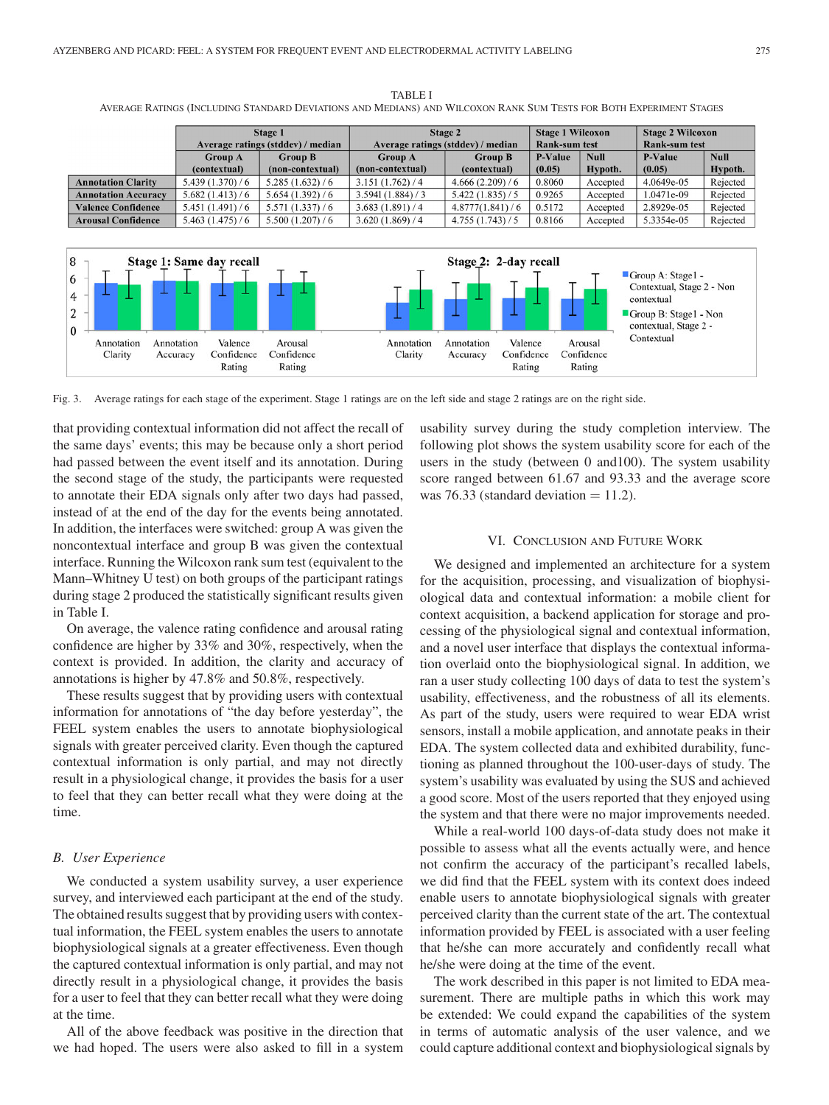|                                                                                               | Stage 1<br>Average ratings (stddev) / median |                  | Stage 2                           |                       | <b>Stage 1 Wilcoxon</b> |             | <b>Stage 2 Wilcoxon</b> |             |
|-----------------------------------------------------------------------------------------------|----------------------------------------------|------------------|-----------------------------------|-----------------------|-------------------------|-------------|-------------------------|-------------|
|                                                                                               |                                              |                  | Average ratings (stddev) / median |                       | Rank-sum test           |             | <b>Rank-sum test</b>    |             |
|                                                                                               | <b>Group A</b>                               | <b>Group B</b>   | <b>Group A</b>                    | <b>Group B</b>        | P-Value                 | <b>Null</b> | P-Value                 | <b>Null</b> |
|                                                                                               | (contextual)                                 | (non-contextual) | (non-contextual)                  | (contextual)          | (0.05)                  | Hypoth.     | (0.05)                  | Hypoth.     |
| <b>Annotation Clarity</b>                                                                     | 5.439(1.370)/6                               | 5.285(1.632)/6   | 3.151(1.762)/4                    | 4.666(2.209)/6        | 0.8060                  | Accepted    | 4.0649e-05              | Rejected    |
| <b>Annotation Accuracy</b>                                                                    | 5.682(1.413)/6                               | 5.654(1.392)/6   | 3.5941(1.884)/3                   | 5.422(1.835)/5        | 0.9265                  | Accepted    | 1.0471e-09              | Rejected    |
| <b>Valence Confidence</b>                                                                     | 5.451(1.491)/6                               | 5.571(1.337)/6   | 3.683(1.891)/4                    | 4.8777(1.841)/6       | 0.5172                  | Accepted    | 2.8929e-05              | Rejected    |
| <b>Arousal Confidence</b>                                                                     | 5.463(1.475)/6                               | 5.500(1.207)/6   | 3.620(1.869)/4                    | 4.755(1.743)/5        | 0.8166                  | Accepted    | 5.3354e-05              | Rejected    |
|                                                                                               |                                              |                  |                                   |                       |                         |             |                         |             |
|                                                                                               |                                              |                  |                                   |                       |                         |             |                         |             |
| 8 <sub>1</sub>                                                                                | Stage 1: Same day recall                     |                  |                                   | Stage_2: 2-day recall |                         |             |                         |             |
| ᠇<br>$C_{\text{main}}$ $\Lambda$ $\Omega_{\text{final}}$<br><b>Contract Contract Contract</b> |                                              |                  |                                   |                       |                         |             |                         |             |

TABLE I AVERAGE RATINGS (INCLUDING STANDARD DEVIATIONS AND MEDIANS) AND WILCOXON RANK SUM TESTS FOR BOTH EXPERIMENT STAGES



Fig. 3. Average ratings for each stage of the experiment. Stage 1 ratings are on the left side and stage 2 ratings are on the right side.

that providing contextual information did not affect the recall of the same days' events; this may be because only a short period had passed between the event itself and its annotation. During the second stage of the study, the participants were requested to annotate their EDA signals only after two days had passed, instead of at the end of the day for the events being annotated. In addition, the interfaces were switched: group A was given the noncontextual interface and group B was given the contextual interface. Running the Wilcoxon rank sum test (equivalent to the Mann–Whitney U test) on both groups of the participant ratings during stage 2 produced the statistically significant results given in Table I.

On average, the valence rating confidence and arousal rating confidence are higher by 33% and 30%, respectively, when the context is provided. In addition, the clarity and accuracy of annotations is higher by 47.8% and 50.8%, respectively.

These results suggest that by providing users with contextual information for annotations of "the day before yesterday", the FEEL system enables the users to annotate biophysiological signals with greater perceived clarity. Even though the captured contextual information is only partial, and may not directly result in a physiological change, it provides the basis for a user to feel that they can better recall what they were doing at the time.

# *B. User Experience*

We conducted a system usability survey, a user experience survey, and interviewed each participant at the end of the study. The obtained results suggest that by providing users with contextual information, the FEEL system enables the users to annotate biophysiological signals at a greater effectiveness. Even though the captured contextual information is only partial, and may not directly result in a physiological change, it provides the basis for a user to feel that they can better recall what they were doing at the time.

All of the above feedback was positive in the direction that we had hoped. The users were also asked to fill in a system usability survey during the study completion interview. The following plot shows the system usability score for each of the users in the study (between 0 and100). The system usability score ranged between 61.67 and 93.33 and the average score was 76.33 (standard deviation  $= 11.2$ ).

#### VI. CONCLUSION AND FUTURE WORK

We designed and implemented an architecture for a system for the acquisition, processing, and visualization of biophysiological data and contextual information: a mobile client for context acquisition, a backend application for storage and processing of the physiological signal and contextual information, and a novel user interface that displays the contextual information overlaid onto the biophysiological signal. In addition, we ran a user study collecting 100 days of data to test the system's usability, effectiveness, and the robustness of all its elements. As part of the study, users were required to wear EDA wrist sensors, install a mobile application, and annotate peaks in their EDA. The system collected data and exhibited durability, functioning as planned throughout the 100-user-days of study. The system's usability was evaluated by using the SUS and achieved a good score. Most of the users reported that they enjoyed using the system and that there were no major improvements needed.

While a real-world 100 days-of-data study does not make it possible to assess what all the events actually were, and hence not confirm the accuracy of the participant's recalled labels, we did find that the FEEL system with its context does indeed enable users to annotate biophysiological signals with greater perceived clarity than the current state of the art. The contextual information provided by FEEL is associated with a user feeling that he/she can more accurately and confidently recall what he/she were doing at the time of the event.

The work described in this paper is not limited to EDA measurement. There are multiple paths in which this work may be extended: We could expand the capabilities of the system in terms of automatic analysis of the user valence, and we could capture additional context and biophysiological signals by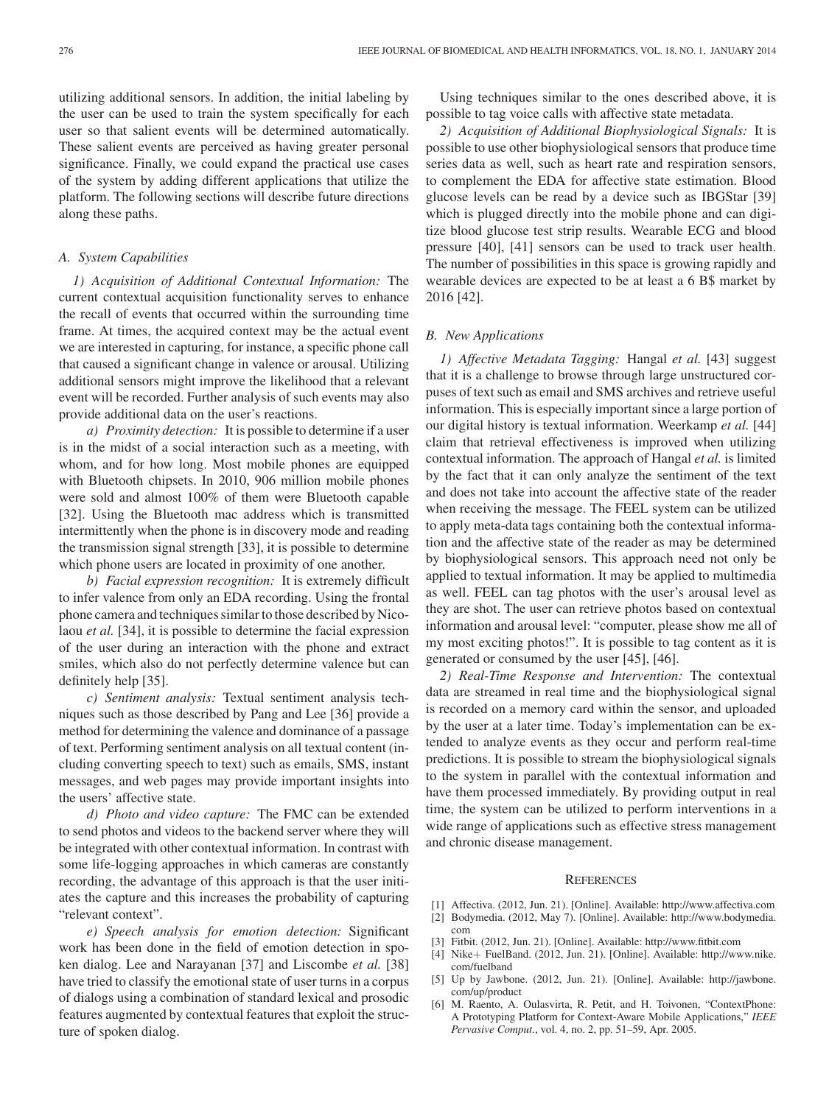utilizing additional sensors. In addition, the initial labeling by the user can be used to train the system specifically for each user so that salient events will be determined automatically. These salient events are perceived as having greater personal significance. Finally, we could expand the practical use cases of the system by adding different applications that utilize the platform. The following sections will describe future directions along these paths.

### *A. System Capabilities*

*1) Acquisition of Additional Contextual Information:* The current contextual acquisition functionality serves to enhance the recall of events that occurred within the surrounding time frame. At times, the acquired context may be the actual event we are interested in capturing, for instance, a specific phone call that caused a significant change in valence or arousal. Utilizing additional sensors might improve the likelihood that a relevant event will be recorded. Further analysis of such events may also provide additional data on the user's reactions.

*a) Proximity detection:* It is possible to determine if a user is in the midst of a social interaction such as a meeting, with whom, and for how long. Most mobile phones are equipped with Bluetooth chipsets. In 2010, 906 million mobile phones were sold and almost 100% of them were Bluetooth capable [32]. Using the Bluetooth mac address which is transmitted intermittently when the phone is in discovery mode and reading the transmission signal strength [33], it is possible to determine which phone users are located in proximity of one another.

*b) Facial expression recognition:* It is extremely difficult to infer valence from only an EDA recording. Using the frontal phone camera and techniques similar to those described by Nicolaou *et al.* [34], it is possible to determine the facial expression of the user during an interaction with the phone and extract smiles, which also do not perfectly determine valence but can definitely help [35].

*c) Sentiment analysis:* Textual sentiment analysis techniques such as those described by Pang and Lee [36] provide a method for determining the valence and dominance of a passage of text. Performing sentiment analysis on all textual content (including converting speech to text) such as emails, SMS, instant messages, and web pages may provide important insights into the users' affective state.

*d) Photo and video capture:* The FMC can be extended to send photos and videos to the backend server where they will be integrated with other contextual information. In contrast with some life-logging approaches in which cameras are constantly recording, the advantage of this approach is that the user initiates the capture and this increases the probability of capturing "relevant context".

*e) Speech analysis for emotion detection:* Significant work has been done in the field of emotion detection in spoken dialog. Lee and Narayanan [37] and Liscombe *et al.* [38] have tried to classify the emotional state of user turns in a corpus of dialogs using a combination of standard lexical and prosodic features augmented by contextual features that exploit the structure of spoken dialog.

Using techniques similar to the ones described above, it is possible to tag voice calls with affective state metadata.

*2) Acquisition of Additional Biophysiological Signals:* It is possible to use other biophysiological sensors that produce time series data as well, such as heart rate and respiration sensors, to complement the EDA for affective state estimation. Blood glucose levels can be read by a device such as IBGStar [39] which is plugged directly into the mobile phone and can digitize blood glucose test strip results. Wearable ECG and blood pressure [40], [41] sensors can be used to track user health. The number of possibilities in this space is growing rapidly and wearable devices are expected to be at least a 6 B\$ market by 2016 [42].

# *B. New Applications*

*1) Affective Metadata Tagging:* Hangal *et al.* [43] suggest that it is a challenge to browse through large unstructured corpuses of text such as email and SMS archives and retrieve useful information. This is especially important since a large portion of our digital history is textual information. Weerkamp *et al.* [44] claim that retrieval effectiveness is improved when utilizing contextual information. The approach of Hangal *et al.* is limited by the fact that it can only analyze the sentiment of the text and does not take into account the affective state of the reader when receiving the message. The FEEL system can be utilized to apply meta-data tags containing both the contextual information and the affective state of the reader as may be determined by biophysiological sensors. This approach need not only be applied to textual information. It may be applied to multimedia as well. FEEL can tag photos with the user's arousal level as they are shot. The user can retrieve photos based on contextual information and arousal level: "computer, please show me all of my most exciting photos!". It is possible to tag content as it is generated or consumed by the user [45], [46].

*2) Real-Time Response and Intervention:* The contextual data are streamed in real time and the biophysiological signal is recorded on a memory card within the sensor, and uploaded by the user at a later time. Today's implementation can be extended to analyze events as they occur and perform real-time predictions. It is possible to stream the biophysiological signals to the system in parallel with the contextual information and have them processed immediately. By providing output in real time, the system can be utilized to perform interventions in a wide range of applications such as effective stress management and chronic disease management.

#### **REFERENCES**

- [1] Affectiva. (2012, Jun. 21). [Online]. Available: http://www.affectiva.com
- [2] Bodymedia. (2012, May 7). [Online]. Available: http://www.bodymedia. com
- [3] Fitbit. (2012, Jun. 21). [Online]. Available: http://www.fitbit.com
- [4] Nike+ FuelBand. (2012, Jun. 21). [Online]. Available: http://www.nike. com/fuelband
- [5] Up by Jawbone. (2012, Jun. 21). [Online]. Available: http://jawbone. com/up/product
- [6] M. Raento, A. Oulasvirta, R. Petit, and H. Toivonen, "ContextPhone: A Prototyping Platform for Context-Aware Mobile Applications," *IEEE Pervasive Comput.*, vol. 4, no. 2, pp. 51–59, Apr. 2005.